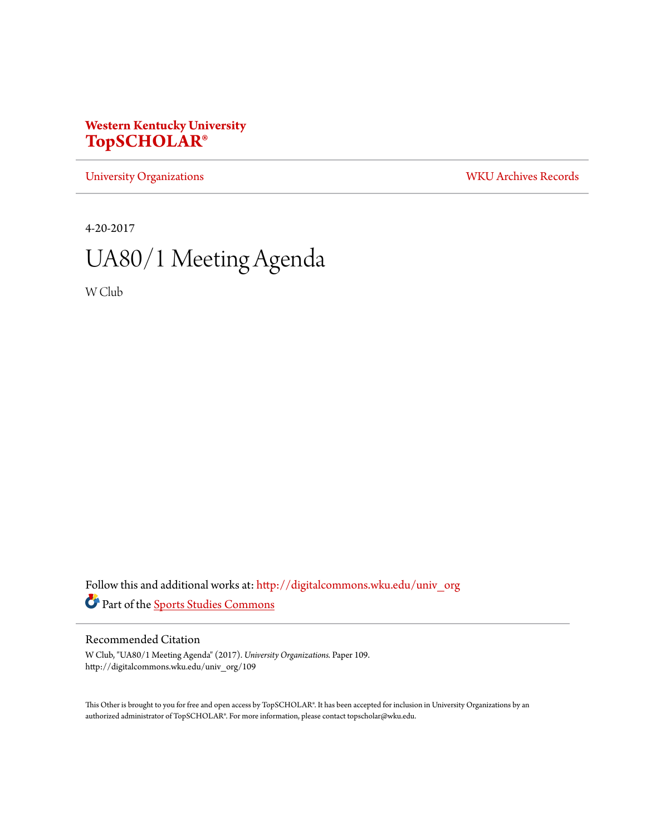## **Western Kentucky University [TopSCHOLAR®](http://digitalcommons.wku.edu?utm_source=digitalcommons.wku.edu%2Funiv_org%2F109&utm_medium=PDF&utm_campaign=PDFCoverPages)**

[University Organizations](http://digitalcommons.wku.edu/univ_org?utm_source=digitalcommons.wku.edu%2Funiv_org%2F109&utm_medium=PDF&utm_campaign=PDFCoverPages) [WKU Archives Records](http://digitalcommons.wku.edu/dlsc_ua_records?utm_source=digitalcommons.wku.edu%2Funiv_org%2F109&utm_medium=PDF&utm_campaign=PDFCoverPages)

4-20-2017

# UA80/1 Meeting Agenda

W Club

Follow this and additional works at: [http://digitalcommons.wku.edu/univ\\_org](http://digitalcommons.wku.edu/univ_org?utm_source=digitalcommons.wku.edu%2Funiv_org%2F109&utm_medium=PDF&utm_campaign=PDFCoverPages) Part of the [Sports Studies Commons](http://network.bepress.com/hgg/discipline/1198?utm_source=digitalcommons.wku.edu%2Funiv_org%2F109&utm_medium=PDF&utm_campaign=PDFCoverPages)

#### Recommended Citation

W Club, "UA80/1 Meeting Agenda" (2017). *University Organizations.* Paper 109. http://digitalcommons.wku.edu/univ\_org/109

This Other is brought to you for free and open access by TopSCHOLAR®. It has been accepted for inclusion in University Organizations by an authorized administrator of TopSCHOLAR®. For more information, please contact topscholar@wku.edu.